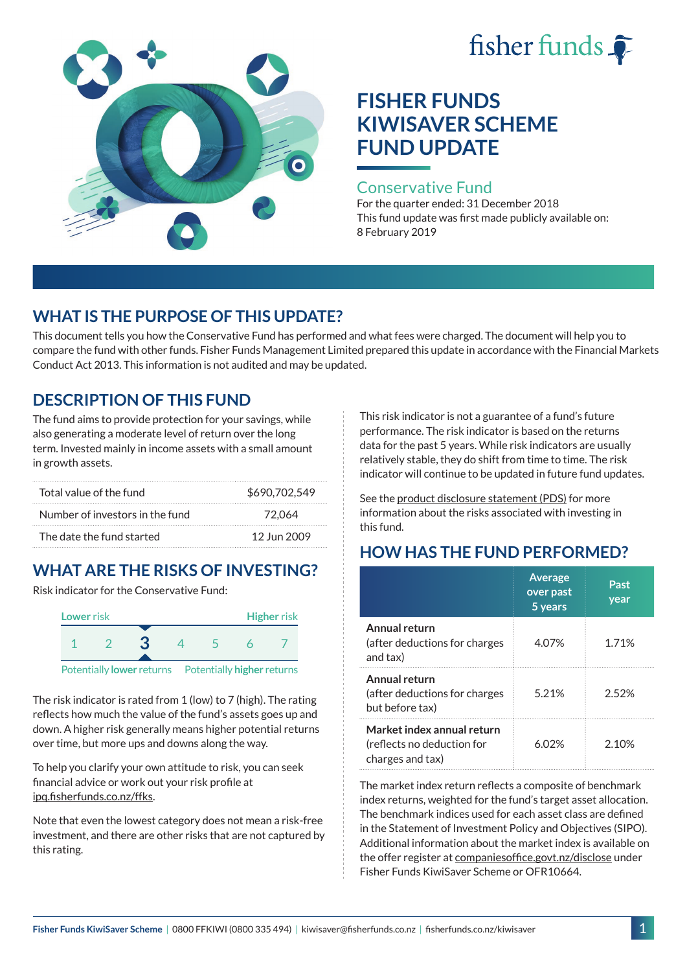# fisher funds  $\hat{\bullet}$



# **FISHER FUNDS KIWISAVER SCHEME FUND UPDATE**

#### Conservative Fund

For the quarter ended: 31 December 2018 This fund update was first made publicly available on: 8 February 2019

## **WHAT IS THE PURPOSE OF THIS UPDATE?**

This document tells you how the Conservative Fund has performed and what fees were charged. The document will help you to compare the fund with other funds. Fisher Funds Management Limited prepared this update in accordance with the Financial Markets Conduct Act 2013. This information is not audited and may be updated.

## **DESCRIPTION OF THIS FUND**

The fund aims to provide protection for your savings, while also generating a moderate level of return over the long term. Invested mainly in income assets with a small amount in growth assets.

| Total value of the fund         | \$690,702,549 |
|---------------------------------|---------------|
| Number of investors in the fund | 72.064        |
| The date the fund started       | 12 Jun 2009   |

# **WHAT ARE THE RISKS OF INVESTING?**

Risk indicator for the Conservative Fund:



The risk indicator is rated from 1 (low) to 7 (high). The rating reflects how much the value of the fund's assets goes up and down. A higher risk generally means higher potential returns over time, but more ups and downs along the way.

To help you clarify your own attitude to risk, you can seek financial advice or work out your risk profile at [ipq.fisherfunds.co.nz/ffks](https://ipq.fisherfunds.co.nz/ffks).

Note that even the lowest category does not mean a risk-free investment, and there are other risks that are not captured by this rating.

This risk indicator is not a guarantee of a fund's future performance. The risk indicator is based on the returns data for the past 5 years. While risk indicators are usually relatively stable, they do shift from time to time. The risk indicator will continue to be updated in future fund updates.

See the [product disclosure statement \(PDS\)](https://fisherfunds.co.nz/assets/PDS/Fisher-Funds-KiwiSaver-Scheme-PDS.pdf) for more information about the risks associated with investing in this fund.

# **HOW HAS THE FUND PERFORMED?**

|                                                                              | <b>Average</b><br>over past<br>5 years | Past<br>year |
|------------------------------------------------------------------------------|----------------------------------------|--------------|
| Annual return<br>(after deductions for charges<br>and tax)                   | 4.07%                                  | 1.71%        |
| Annual return<br>(after deductions for charges<br>but before tax)            | 5.21%                                  | 2.52%        |
| Market index annual return<br>(reflects no deduction for<br>charges and tax) | 6 በ2%                                  | 2 10%        |

The market index return reflects a composite of benchmark index returns, weighted for the fund's target asset allocation. The benchmark indices used for each asset class are defined in the Statement of Investment Policy and Objectives (SIPO). Additional information about the market index is available on the offer register at [companiesoffice.govt.nz/disclose](http://companiesoffice.govt.nz/disclose) under Fisher Funds KiwiSaver Scheme or OFR10664.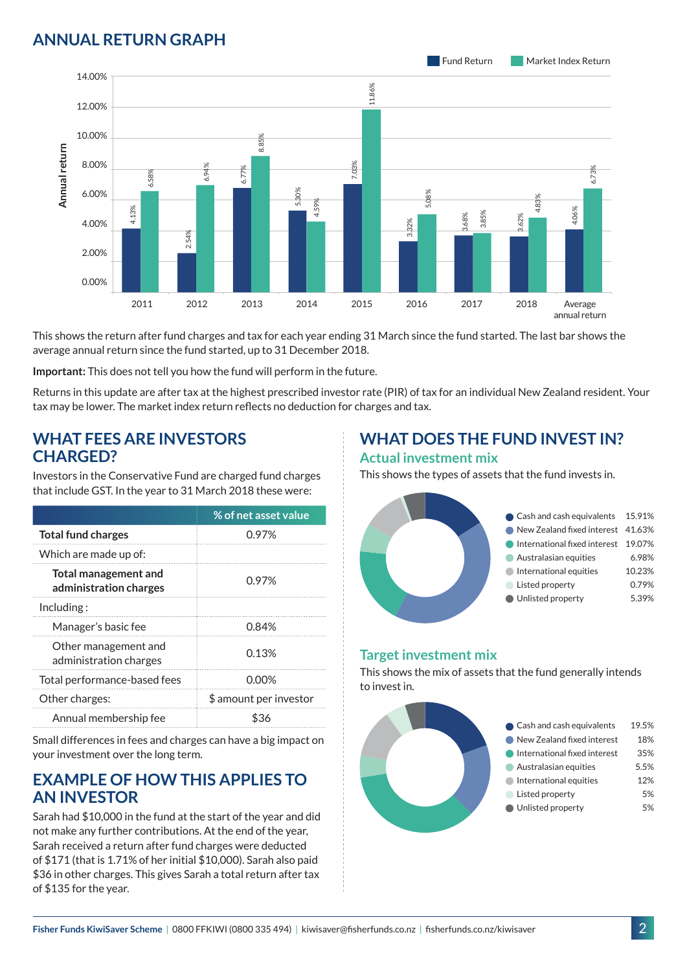### **ANNUAL RETURN GRAPH**



This shows the return after fund charges and tax for each year ending 31 March since the fund started. The last bar shows the average annual return since the fund started, up to 31 December 2018.

**Important:** This does not tell you how the fund will perform in the future.

Returns in this update are after tax at the highest prescribed investor rate (PIR) of tax for an individual New Zealand resident. Your tax may be lower. The market index return reflects no deduction for charges and tax.

#### **WHAT FEES ARE INVESTORS CHARGED?**

Investors in the Conservative Fund are charged fund charges that include GST. In the year to 31 March 2018 these were:

|                                                | % of net asset value   |
|------------------------------------------------|------------------------|
| <b>Total fund charges</b>                      | 0.97%                  |
| Which are made up of:                          |                        |
| Total management and<br>administration charges | 0.97%                  |
| Including:                                     |                        |
| Manager's basic fee                            | 0.84%                  |
| Other management and<br>administration charges | 0.13%                  |
| Total performance-based fees                   | 0.00%                  |
| Other charges:                                 | \$ amount per investor |
| Annual membership fee                          |                        |

Small differences in fees and charges can have a big impact on your investment over the long term.

#### **EXAMPLE OF HOW THIS APPLIES TO AN INVESTOR**

Sarah had \$10,000 in the fund at the start of the year and did not make any further contributions. At the end of the year, Sarah received a return after fund charges were deducted of \$171 (that is 1.71% of her initial \$10,000). Sarah also paid \$36 in other charges. This gives Sarah a total return after tax of \$135 for the year.

# **WHAT DOES THE FUND INVEST IN?**

#### **Actual investment mix**

This shows the types of assets that the fund invests in.



#### **Target investment mix**

This shows the mix of assets that the fund generally intends to invest in.